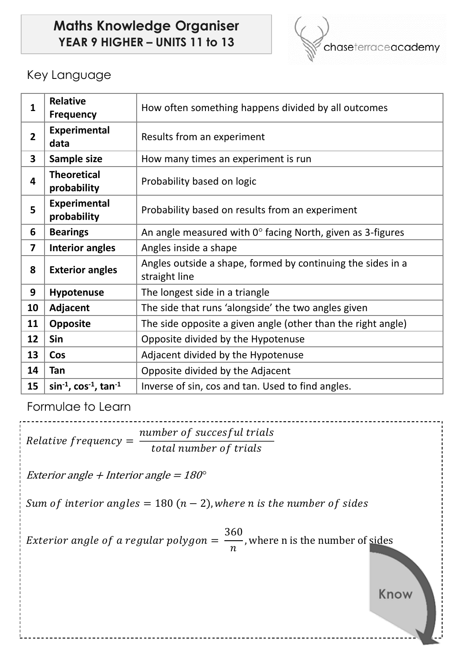# **Maths Knowledge Organiser YEAR 9 HIGHER – UNITS 11 to 13**



## Key Language

| $\mathbf{1}$            | <b>Relative</b><br><b>Frequency</b>     | How often something happens divided by all outcomes                          |  |  |  |
|-------------------------|-----------------------------------------|------------------------------------------------------------------------------|--|--|--|
| $\overline{2}$          | <b>Experimental</b><br>data             | Results from an experiment                                                   |  |  |  |
| 3                       | Sample size                             | How many times an experiment is run                                          |  |  |  |
| 4                       | <b>Theoretical</b><br>probability       | Probability based on logic                                                   |  |  |  |
| 5                       | <b>Experimental</b><br>probability      | Probability based on results from an experiment                              |  |  |  |
| 6                       | <b>Bearings</b>                         | An angle measured with $0^\circ$ facing North, given as 3-figures            |  |  |  |
| $\overline{\mathbf{z}}$ | <b>Interior angles</b>                  | Angles inside a shape                                                        |  |  |  |
| 8                       | <b>Exterior angles</b>                  | Angles outside a shape, formed by continuing the sides in a<br>straight line |  |  |  |
| 9                       | Hypotenuse                              | The longest side in a triangle                                               |  |  |  |
| 10                      | Adjacent                                | The side that runs 'alongside' the two angles given                          |  |  |  |
| 11                      | <b>Opposite</b>                         | The side opposite a given angle (other than the right angle)                 |  |  |  |
| 12                      | Sin                                     | Opposite divided by the Hypotenuse                                           |  |  |  |
| 13                      | Cos                                     | Adjacent divided by the Hypotenuse                                           |  |  |  |
| 14                      | <b>Tan</b>                              | Opposite divided by the Adjacent                                             |  |  |  |
| 15                      | $\sin^{-1}$ , $\cos^{-1}$ , $\tan^{-1}$ | Inverse of sin, cos and tan. Used to find angles.                            |  |  |  |

Formulae to Learn

 $Relative frequency =$ number of succesful trials total number of trials

Exterior angle + Interior angle = 180*°*

Sum of interior angles =  $180 (n - 2)$ , where n is the number of sides

Exterior angle of a regular polygon  $=$ 360  $\boldsymbol{n}$ , where n is the number of sides

Know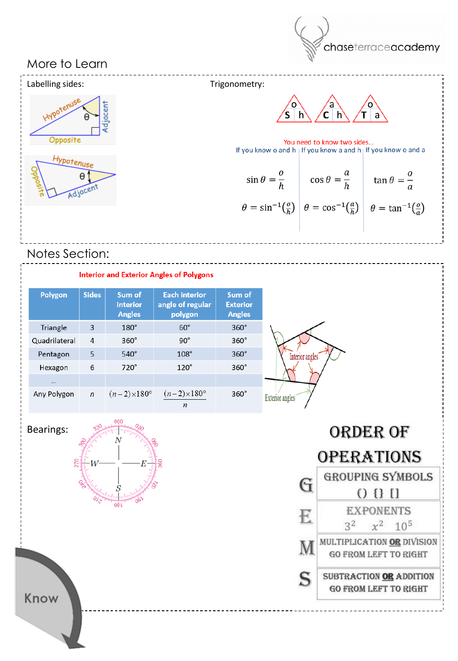

## More to Learn



## Notes Section:

#### **Interior and Exterior Angles of Polygons**

| Polygon       | Sides        | Sum of<br><b>Interior</b><br><b>Angles</b> | <b>Each interior</b><br>angle of regular<br>polygon | Sum of<br><b>Exterior</b><br><b>Angles</b> |
|---------------|--------------|--------------------------------------------|-----------------------------------------------------|--------------------------------------------|
| Triangle      | 3            | $180^\circ$                                | $60^\circ$                                          | $360^\circ$                                |
| Quadrilateral | 4            | $360^\circ$                                | $90^\circ$                                          | $360^\circ$                                |
| Pentagon      | 5            | $540^\circ$                                | $108^\circ$                                         | $360^\circ$                                |
| Hexagon       | 6            | $720^\circ$                                | $120^\circ$                                         | $360^\circ$                                |
| $\cdots$      |              |                                            |                                                     |                                            |
| Any Polygon   | $\mathsf{n}$ | $(n-2)\times180^\circ$                     | $(n-2) \times 180^{\circ}$<br>n                     | $360^\circ$                                |

Bearings:



ORDER OF **OPERATIONS GROUPING SYMBOLS** G  $(1 1 0)$ **EXPONENTS** E  $3^2$   $x^2$   $10^5$ MULTIPLICATION OR DIVISION M **GO FROM LEFT TO RIGHT** S SUBTRACTION OR ADDITION **GO FROM LEFT TO RIGHT** 

Know